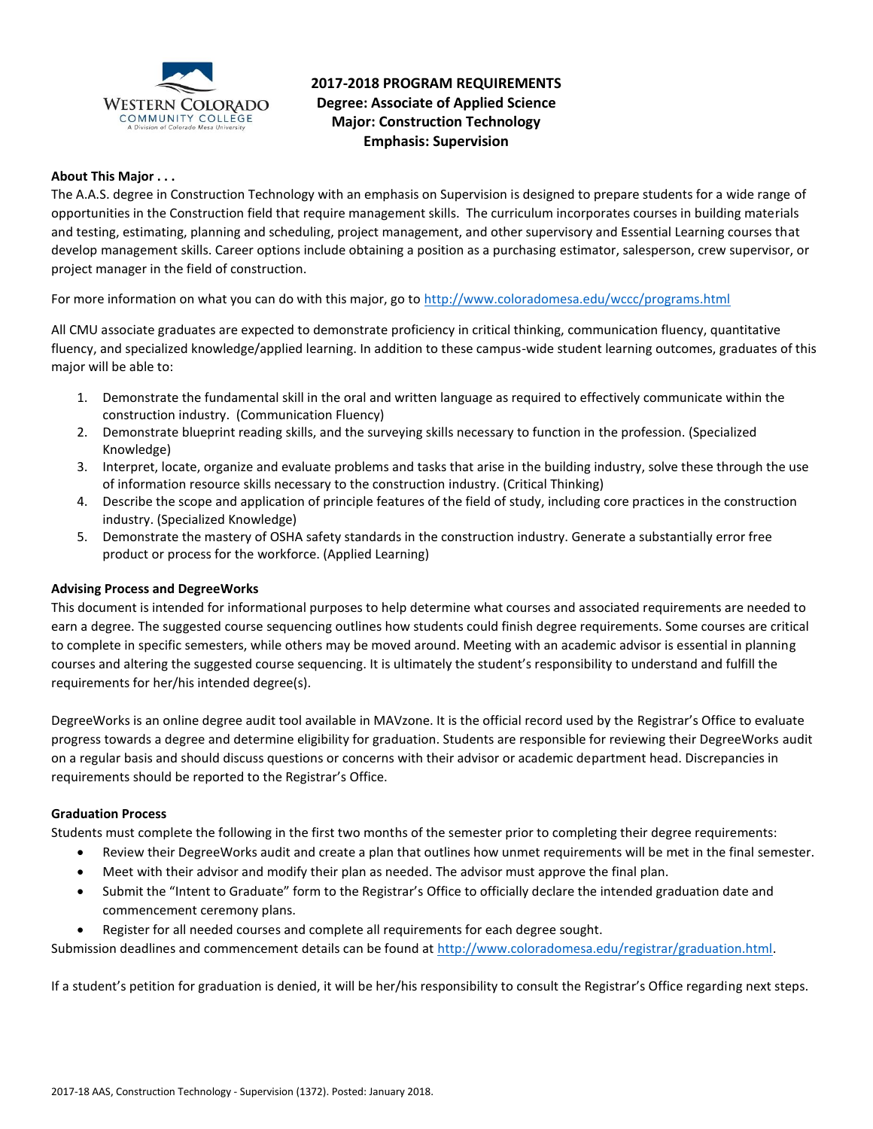

# **2017-2018 PROGRAM REQUIREMENTS Degree: Associate of Applied Science Major: Construction Technology Emphasis: Supervision**

# **About This Major . . .**

The A.A.S. degree in Construction Technology with an emphasis on Supervision is designed to prepare students for a wide range of opportunities in the Construction field that require management skills. The curriculum incorporates courses in building materials and testing, estimating, planning and scheduling, project management, and other supervisory and Essential Learning courses that develop management skills. Career options include obtaining a position as a purchasing estimator, salesperson, crew supervisor, or project manager in the field of construction.

For more information on what you can do with this major, go to<http://www.coloradomesa.edu/wccc/programs.html>

All CMU associate graduates are expected to demonstrate proficiency in critical thinking, communication fluency, quantitative fluency, and specialized knowledge/applied learning. In addition to these campus-wide student learning outcomes, graduates of this major will be able to:

- 1. Demonstrate the fundamental skill in the oral and written language as required to effectively communicate within the construction industry. (Communication Fluency)
- 2. Demonstrate blueprint reading skills, and the surveying skills necessary to function in the profession. (Specialized Knowledge)
- 3. Interpret, locate, organize and evaluate problems and tasks that arise in the building industry, solve these through the use of information resource skills necessary to the construction industry. (Critical Thinking)
- 4. Describe the scope and application of principle features of the field of study, including core practices in the construction industry. (Specialized Knowledge)
- 5. Demonstrate the mastery of OSHA safety standards in the construction industry. Generate a substantially error free product or process for the workforce. (Applied Learning)

#### **Advising Process and DegreeWorks**

This document is intended for informational purposes to help determine what courses and associated requirements are needed to earn a degree. The suggested course sequencing outlines how students could finish degree requirements. Some courses are critical to complete in specific semesters, while others may be moved around. Meeting with an academic advisor is essential in planning courses and altering the suggested course sequencing. It is ultimately the student's responsibility to understand and fulfill the requirements for her/his intended degree(s).

DegreeWorks is an online degree audit tool available in MAVzone. It is the official record used by the Registrar's Office to evaluate progress towards a degree and determine eligibility for graduation. Students are responsible for reviewing their DegreeWorks audit on a regular basis and should discuss questions or concerns with their advisor or academic department head. Discrepancies in requirements should be reported to the Registrar's Office.

### **Graduation Process**

Students must complete the following in the first two months of the semester prior to completing their degree requirements:

- Review their DegreeWorks audit and create a plan that outlines how unmet requirements will be met in the final semester.
- Meet with their advisor and modify their plan as needed. The advisor must approve the final plan.
- Submit the "Intent to Graduate" form to the Registrar's Office to officially declare the intended graduation date and commencement ceremony plans.
- Register for all needed courses and complete all requirements for each degree sought.

Submission deadlines and commencement details can be found at [http://www.coloradomesa.edu/registrar/graduation.html.](http://www.coloradomesa.edu/registrar/graduation.html)

If a student's petition for graduation is denied, it will be her/his responsibility to consult the Registrar's Office regarding next steps.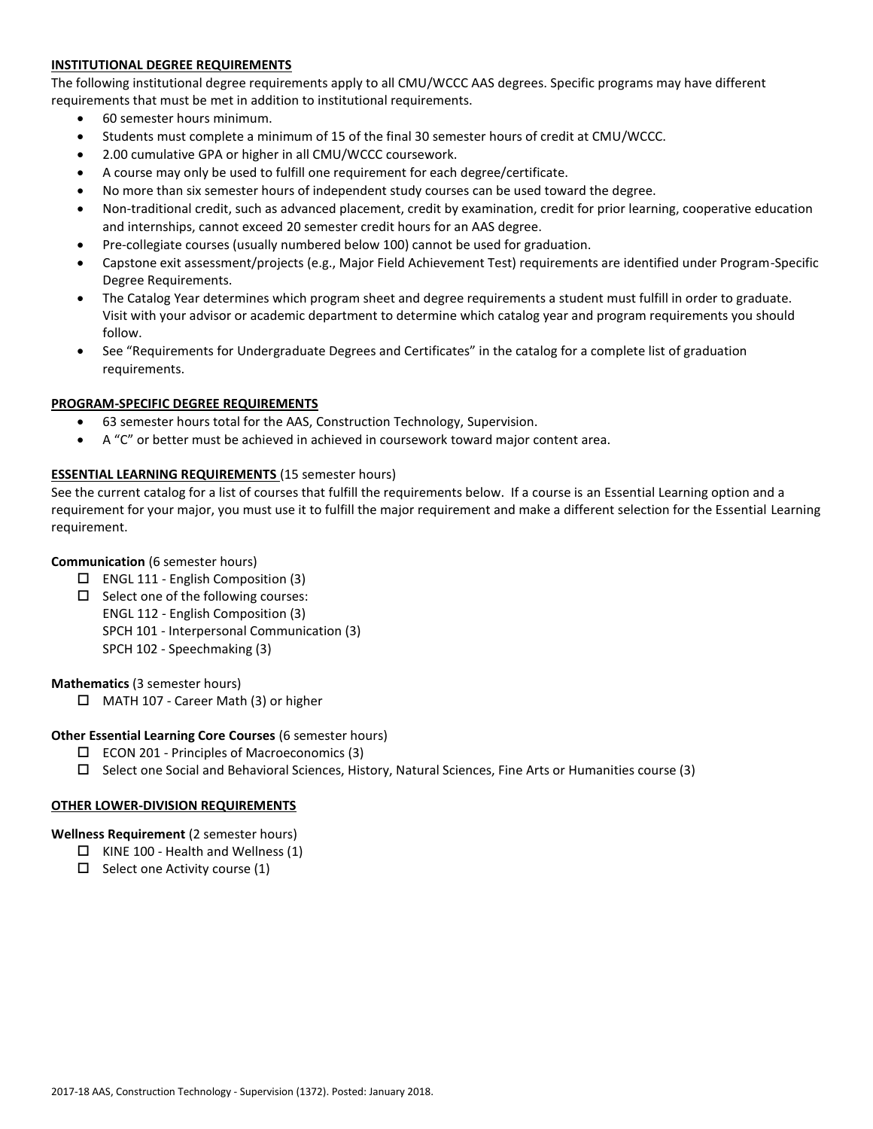# **INSTITUTIONAL DEGREE REQUIREMENTS**

The following institutional degree requirements apply to all CMU/WCCC AAS degrees. Specific programs may have different requirements that must be met in addition to institutional requirements.

- 60 semester hours minimum.
- Students must complete a minimum of 15 of the final 30 semester hours of credit at CMU/WCCC.
- 2.00 cumulative GPA or higher in all CMU/WCCC coursework.
- A course may only be used to fulfill one requirement for each degree/certificate.
- No more than six semester hours of independent study courses can be used toward the degree.
- Non-traditional credit, such as advanced placement, credit by examination, credit for prior learning, cooperative education and internships, cannot exceed 20 semester credit hours for an AAS degree.
- Pre-collegiate courses (usually numbered below 100) cannot be used for graduation.
- Capstone exit assessment/projects (e.g., Major Field Achievement Test) requirements are identified under Program-Specific Degree Requirements.
- The Catalog Year determines which program sheet and degree requirements a student must fulfill in order to graduate. Visit with your advisor or academic department to determine which catalog year and program requirements you should follow.
- See "Requirements for Undergraduate Degrees and Certificates" in the catalog for a complete list of graduation requirements.

# **PROGRAM-SPECIFIC DEGREE REQUIREMENTS**

- 63 semester hours total for the AAS, Construction Technology, Supervision.
- A "C" or better must be achieved in achieved in coursework toward major content area.

# **ESSENTIAL LEARNING REQUIREMENTS** (15 semester hours)

See the current catalog for a list of courses that fulfill the requirements below. If a course is an Essential Learning option and a requirement for your major, you must use it to fulfill the major requirement and make a different selection for the Essential Learning requirement.

### **Communication** (6 semester hours)

- $\Box$  ENGL 111 English Composition (3)
- $\square$  Select one of the following courses: ENGL 112 - English Composition (3) SPCH 101 - Interpersonal Communication (3) SPCH 102 - Speechmaking (3)

#### **Mathematics** (3 semester hours)

□ MATH 107 - Career Math (3) or higher

#### **Other Essential Learning Core Courses** (6 semester hours)

- $\square$  ECON 201 Principles of Macroeconomics (3)
- $\Box$  Select one Social and Behavioral Sciences, History, Natural Sciences, Fine Arts or Humanities course (3)

#### **OTHER LOWER-DIVISION REQUIREMENTS**

**Wellness Requirement** (2 semester hours)

- $\Box$  KINE 100 Health and Wellness (1)
- $\Box$  Select one Activity course (1)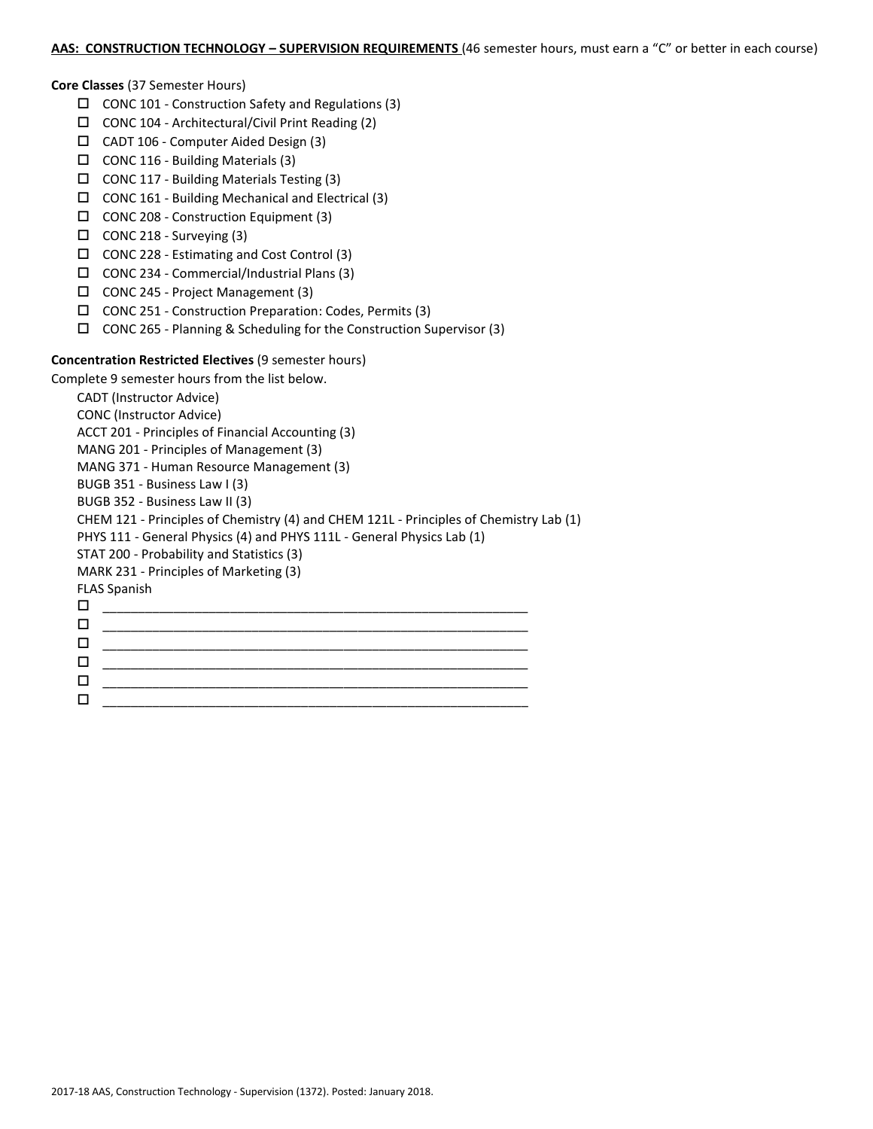# **AAS: CONSTRUCTION TECHNOLOGY – SUPERVISION REQUIREMENTS** (46 semester hours, must earn a "C" or better in each course)

#### **Core Classes** (37 Semester Hours)

- $\Box$  CONC 101 Construction Safety and Regulations (3)
- $\Box$  CONC 104 Architectural/Civil Print Reading (2)
- CADT 106 Computer Aided Design (3)
- $\Box$  CONC 116 Building Materials (3)
- CONC 117 Building Materials Testing (3)
- $\Box$  CONC 161 Building Mechanical and Electrical (3)
- CONC 208 Construction Equipment (3)
- $\Box$  CONC 218 Surveying (3)
- CONC 228 Estimating and Cost Control (3)
- CONC 234 Commercial/Industrial Plans (3)
- CONC 245 Project Management (3)
- CONC 251 Construction Preparation: Codes, Permits (3)
- CONC 265 Planning & Scheduling for the Construction Supervisor (3)

# **Concentration Restricted Electives** (9 semester hours)

Complete 9 semester hours from the list below.

CADT (Instructor Advice) CONC (Instructor Advice) ACCT 201 - Principles of Financial Accounting (3) MANG 201 - Principles of Management (3) MANG 371 - Human Resource Management (3) BUGB 351 - Business Law I (3) BUGB 352 - Business Law II (3) CHEM 121 - Principles of Chemistry (4) and CHEM 121L - Principles of Chemistry Lab (1) PHYS 111 - General Physics (4) and PHYS 111L - General Physics Lab (1) STAT 200 - Probability and Statistics (3) MARK 231 - Principles of Marketing (3) FLAS Spanish \_\_\_\_\_\_\_\_\_\_\_\_\_\_\_\_\_\_\_\_\_\_\_\_\_\_\_\_\_\_\_\_\_\_\_\_\_\_\_\_\_\_\_\_\_\_\_\_\_\_\_\_\_\_\_\_\_\_\_\_ \_\_\_\_\_\_\_\_\_\_\_\_\_\_\_\_\_\_\_\_\_\_\_\_\_\_\_\_\_\_\_\_\_\_\_\_\_\_\_\_\_\_\_\_\_\_\_\_\_\_\_\_\_\_\_\_\_\_\_\_  $\Box$  \_\_\_\_\_\_\_\_\_\_\_\_\_\_\_\_\_\_\_\_\_\_\_\_\_\_\_\_\_\_\_\_\_\_\_\_\_\_\_\_\_\_\_\_\_\_\_\_\_\_\_\_\_\_\_\_\_\_\_\_ \_\_\_\_\_\_\_\_\_\_\_\_\_\_\_\_\_\_\_\_\_\_\_\_\_\_\_\_\_\_\_\_\_\_\_\_\_\_\_\_\_\_\_\_\_\_\_\_\_\_\_\_\_\_\_\_\_\_\_\_ \_\_\_\_\_\_\_\_\_\_\_\_\_\_\_\_\_\_\_\_\_\_\_\_\_\_\_\_\_\_\_\_\_\_\_\_\_\_\_\_\_\_\_\_\_\_\_\_\_\_\_\_\_\_\_\_\_\_\_\_